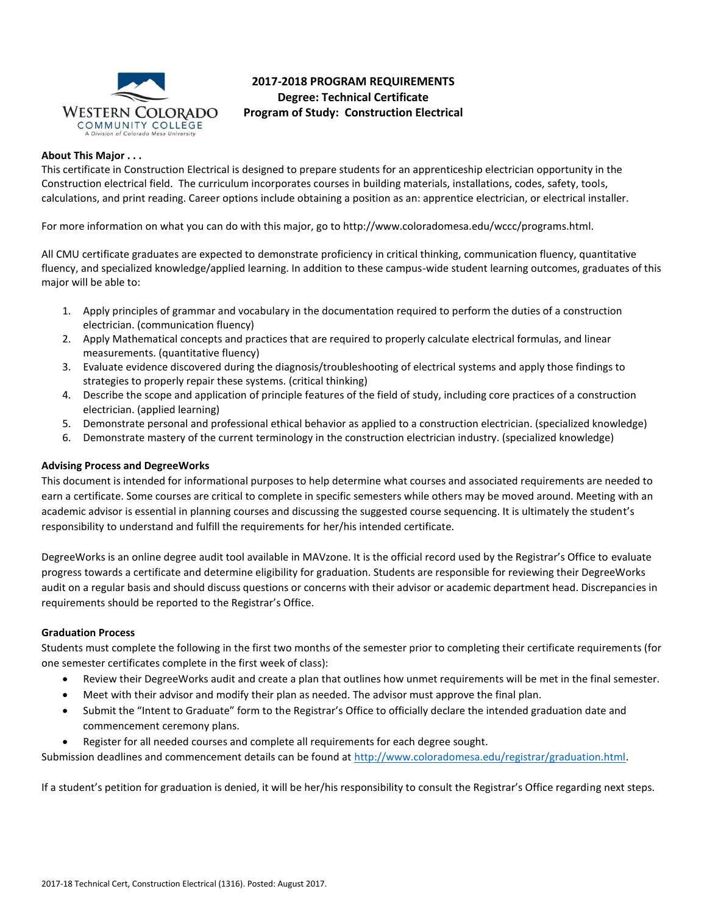

# **2017-2018 PROGRAM REQUIREMENTS Degree: Technical Certificate Program of Study: Construction Electrical**

# **About This Major . . .**

This certificate in Construction Electrical is designed to prepare students for an apprenticeship electrician opportunity in the Construction electrical field. The curriculum incorporates courses in building materials, installations, codes, safety, tools, calculations, and print reading. Career options include obtaining a position as an: apprentice electrician, or electrical installer.

For more information on what you can do with this major, go to http://www.coloradomesa.edu/wccc/programs.html.

All CMU certificate graduates are expected to demonstrate proficiency in critical thinking, communication fluency, quantitative fluency, and specialized knowledge/applied learning. In addition to these campus-wide student learning outcomes, graduates of this major will be able to:

- 1. Apply principles of grammar and vocabulary in the documentation required to perform the duties of a construction electrician. (communication fluency)
- 2. Apply Mathematical concepts and practices that are required to properly calculate electrical formulas, and linear measurements. (quantitative fluency)
- 3. Evaluate evidence discovered during the diagnosis/troubleshooting of electrical systems and apply those findings to strategies to properly repair these systems. (critical thinking)
- 4. Describe the scope and application of principle features of the field of study, including core practices of a construction electrician. (applied learning)
- 5. Demonstrate personal and professional ethical behavior as applied to a construction electrician. (specialized knowledge)
- 6. Demonstrate mastery of the current terminology in the construction electrician industry. (specialized knowledge)

## **Advising Process and DegreeWorks**

This document is intended for informational purposes to help determine what courses and associated requirements are needed to earn a certificate. Some courses are critical to complete in specific semesters while others may be moved around. Meeting with an academic advisor is essential in planning courses and discussing the suggested course sequencing. It is ultimately the student's responsibility to understand and fulfill the requirements for her/his intended certificate.

DegreeWorks is an online degree audit tool available in MAVzone. It is the official record used by the Registrar's Office to evaluate progress towards a certificate and determine eligibility for graduation. Students are responsible for reviewing their DegreeWorks audit on a regular basis and should discuss questions or concerns with their advisor or academic department head. Discrepancies in requirements should be reported to the Registrar's Office.

## **Graduation Process**

Students must complete the following in the first two months of the semester prior to completing their certificate requirements (for one semester certificates complete in the first week of class):

- Review their DegreeWorks audit and create a plan that outlines how unmet requirements will be met in the final semester.
- Meet with their advisor and modify their plan as needed. The advisor must approve the final plan.
- Submit the "Intent to Graduate" form to the Registrar's Office to officially declare the intended graduation date and commencement ceremony plans.
- Register for all needed courses and complete all requirements for each degree sought.

Submission deadlines and commencement details can be found at [http://www.coloradomesa.edu/registrar/graduation.html.](http://www.coloradomesa.edu/registrar/graduation.html)

If a student's petition for graduation is denied, it will be her/his responsibility to consult the Registrar's Office regarding next steps.